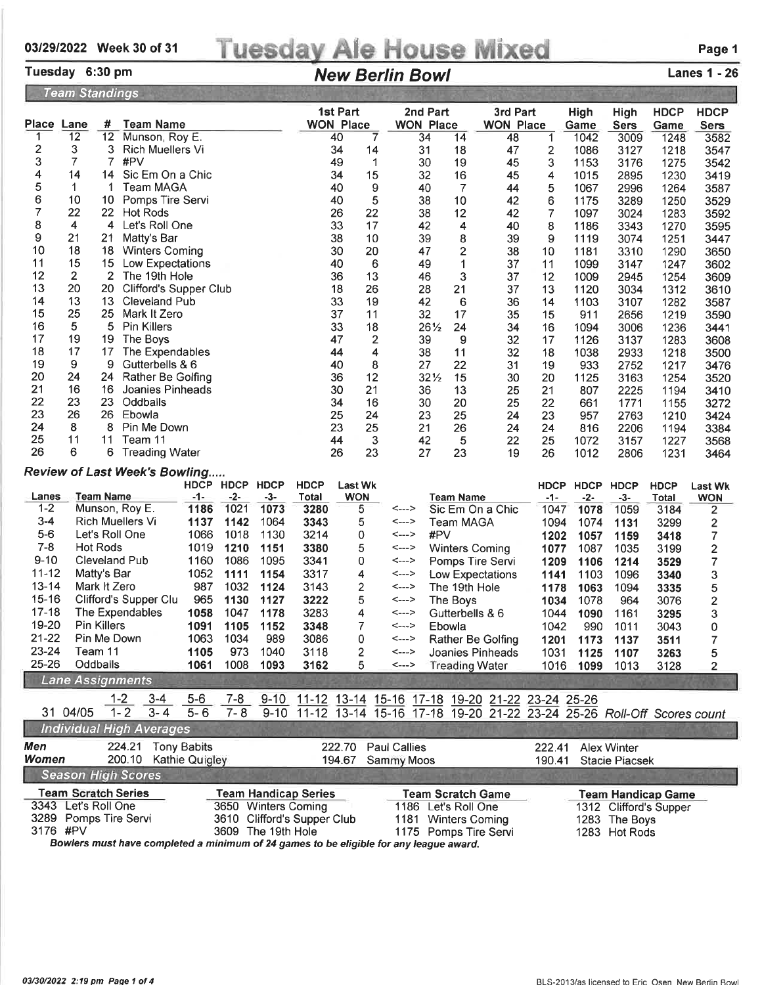## 03/29/2022 Week 30 of 31 Tuesday Ale House Mixed Page 1

## Tuesday 6:30 pm **New Berlin Bowl** Lanes 1 - 26

| 1st Part<br>2nd Part<br>3rd Part<br><b>HDCP</b><br>High<br><b>HDCP</b><br>High<br>Place Lane<br><b>WON Place</b><br>#<br><b>Team Name</b><br><b>WON Place</b><br><b>WON Place</b><br><b>Sers</b><br>Game<br>Game<br><b>Sers</b><br>12<br>Munson, Roy E.<br>12<br>3582<br>1<br>40<br>34<br>14<br>48<br>1<br>1042<br>3009<br>1248<br>7<br>$\overline{\mathbf{c}}$<br>3<br>3<br>14<br><b>Rich Muellers Vi</b><br>34<br>31<br>18<br>2<br>47<br>1086<br>3127<br>1218<br>3547<br>3<br>7<br>$\overline{7}$<br>#PV<br>30<br>49<br>$\mathbf 1$<br>19<br>3<br>45<br>1153<br>3176<br>1275<br>3542<br>4<br>14<br>14<br>Sic Em On a Chic<br>15<br>32<br>16<br>34<br>45<br>4<br>1015<br>2895<br>1230<br>3419<br>5<br>$\mathbf 1$<br>$\mathbf{1}$<br>40<br>9<br>$\overline{7}$<br>5<br>Team MAGA<br>40<br>44<br>1067<br>2996<br>1264<br>3587<br>6<br>5<br>10<br>10<br>Pomps Tire Servi<br>40<br>38<br>10<br>42<br>6<br>1175<br>3289<br>1250<br>3529<br>7<br>22<br>22<br>7<br><b>Hot Rods</b><br>26<br>22<br>38<br>12<br>42<br>1097<br>3024<br>1283<br>3592<br>8<br>4<br>33<br>4<br>Let's Roll One<br>17<br>8<br>42<br>4<br>40<br>1186<br>3343<br>1270<br>3595<br>9<br>21<br>38<br>21<br>Matty's Bar<br>10<br>39<br>8<br>39<br>9<br>1119<br>3074<br>1251<br>3447<br>10<br>18<br>$\overline{c}$<br>30<br>20<br>18.<br><b>Winters Coming</b><br>47<br>38<br>10<br>1181<br>3310<br>1290<br>3650<br>15<br>11<br>15<br>40<br>6<br>Low Expectations<br>49<br>1<br>37<br>11<br>1099<br>3147<br>1247<br>3602<br>12<br>2<br>$\overline{2}$<br>36<br>13<br>3<br>The 19th Hole<br>37<br>12<br>46<br>1009<br>2945<br>1254<br>3609<br>13<br>20<br>37<br>20.<br>Clifford's Supper Club<br>18<br>26<br>28<br>21<br>13<br>1120<br>3034<br>1312<br>3610<br>14<br>13<br>33<br>13<br><b>Cleveland Pub</b><br>19<br>42<br>6<br>36<br>14<br>1103<br>1282<br>3107<br>3587<br>15<br>25<br>25<br>37<br>Mark It Zero<br>11<br>32<br>17<br>35<br>15<br>911<br>2656<br>1219<br>3590<br>16<br>5<br>5<br><b>Pin Killers</b><br>33<br>18<br>261/2<br>24<br>34<br>16<br>1094<br>1236<br>3006<br>3441<br>17<br>19<br>47<br>$\overline{\mathbf{c}}$<br>19<br>The Boys<br>9<br>32<br>39<br>17<br>1126<br>1283<br>3137<br>3608<br>18<br>17<br>4<br>32<br>17<br>The Expendables<br>44<br>38<br>11<br>18<br>1038<br>2933<br>1218<br>3500<br>9<br>19<br>9<br>Gutterbells & 6<br>40<br>8<br>27<br>22<br>31<br>19<br>933<br>2752<br>1217<br>3476<br>20<br>24<br>12<br>24<br>Rather Be Golfing<br>36<br>$32\frac{1}{2}$<br>15<br>30<br>20<br>1125<br>3163<br>1254<br>3520<br>21<br>16<br>16<br>30<br>21<br>13<br>Joanies Pinheads<br>36<br>25<br>21<br>807<br>2225<br>1194<br>3410<br>22<br>23<br>23<br>Oddballs<br>34<br>16<br>30<br>20<br>25<br>22<br>661<br>1771<br>1155<br>3272<br>23<br>26<br>26 Ebowla<br>24<br>25<br>23<br>25<br>23<br>24<br>957<br>2763<br>1210<br>3424<br>24<br>8<br>8<br>Pin Me Down<br>23<br>25<br>21<br>26<br>24<br>24<br>816<br>2206<br>3384<br>1194<br>25<br>11<br>11<br>Team 11<br>44<br>3<br>5<br>42<br>22<br>25<br>1072<br>3157<br>1227<br>3568<br>26<br>6<br>6 Treading Water<br>26<br>23<br>27<br>23<br>19<br>1012<br>26<br>2806<br>1231<br>3464<br>Review of Last Week's Bowling<br><b>HDCP</b><br><b>HDCP</b><br><b>HDCP</b><br><b>HDCP</b><br><b>Last Wk</b><br>HDCP HDCP<br><b>HDCP</b><br><b>HDCP</b><br><b>Last Wk</b> |
|--------------------------------------------------------------------------------------------------------------------------------------------------------------------------------------------------------------------------------------------------------------------------------------------------------------------------------------------------------------------------------------------------------------------------------------------------------------------------------------------------------------------------------------------------------------------------------------------------------------------------------------------------------------------------------------------------------------------------------------------------------------------------------------------------------------------------------------------------------------------------------------------------------------------------------------------------------------------------------------------------------------------------------------------------------------------------------------------------------------------------------------------------------------------------------------------------------------------------------------------------------------------------------------------------------------------------------------------------------------------------------------------------------------------------------------------------------------------------------------------------------------------------------------------------------------------------------------------------------------------------------------------------------------------------------------------------------------------------------------------------------------------------------------------------------------------------------------------------------------------------------------------------------------------------------------------------------------------------------------------------------------------------------------------------------------------------------------------------------------------------------------------------------------------------------------------------------------------------------------------------------------------------------------------------------------------------------------------------------------------------------------------------------------------------------------------------------------------------------------------------------------------------------------------------------------------------------------------------------------------------------------------------------------------------------------------------------------------------------------------------------------------------------------------------------------------------------------------------------------------------------------------------------------------------------------------------------------------------------------------------------------------------------------------------------------------------------------------------------------------------------------------------------------------------------------------------------------------------------------------------------------------------------------------------------|
|                                                                                                                                                                                                                                                                                                                                                                                                                                                                                                                                                                                                                                                                                                                                                                                                                                                                                                                                                                                                                                                                                                                                                                                                                                                                                                                                                                                                                                                                                                                                                                                                                                                                                                                                                                                                                                                                                                                                                                                                                                                                                                                                                                                                                                                                                                                                                                                                                                                                                                                                                                                                                                                                                                                                                                                                                                                                                                                                                                                                                                                                                                                                                                                                                                                                                                        |
|                                                                                                                                                                                                                                                                                                                                                                                                                                                                                                                                                                                                                                                                                                                                                                                                                                                                                                                                                                                                                                                                                                                                                                                                                                                                                                                                                                                                                                                                                                                                                                                                                                                                                                                                                                                                                                                                                                                                                                                                                                                                                                                                                                                                                                                                                                                                                                                                                                                                                                                                                                                                                                                                                                                                                                                                                                                                                                                                                                                                                                                                                                                                                                                                                                                                                                        |
|                                                                                                                                                                                                                                                                                                                                                                                                                                                                                                                                                                                                                                                                                                                                                                                                                                                                                                                                                                                                                                                                                                                                                                                                                                                                                                                                                                                                                                                                                                                                                                                                                                                                                                                                                                                                                                                                                                                                                                                                                                                                                                                                                                                                                                                                                                                                                                                                                                                                                                                                                                                                                                                                                                                                                                                                                                                                                                                                                                                                                                                                                                                                                                                                                                                                                                        |
|                                                                                                                                                                                                                                                                                                                                                                                                                                                                                                                                                                                                                                                                                                                                                                                                                                                                                                                                                                                                                                                                                                                                                                                                                                                                                                                                                                                                                                                                                                                                                                                                                                                                                                                                                                                                                                                                                                                                                                                                                                                                                                                                                                                                                                                                                                                                                                                                                                                                                                                                                                                                                                                                                                                                                                                                                                                                                                                                                                                                                                                                                                                                                                                                                                                                                                        |
|                                                                                                                                                                                                                                                                                                                                                                                                                                                                                                                                                                                                                                                                                                                                                                                                                                                                                                                                                                                                                                                                                                                                                                                                                                                                                                                                                                                                                                                                                                                                                                                                                                                                                                                                                                                                                                                                                                                                                                                                                                                                                                                                                                                                                                                                                                                                                                                                                                                                                                                                                                                                                                                                                                                                                                                                                                                                                                                                                                                                                                                                                                                                                                                                                                                                                                        |
|                                                                                                                                                                                                                                                                                                                                                                                                                                                                                                                                                                                                                                                                                                                                                                                                                                                                                                                                                                                                                                                                                                                                                                                                                                                                                                                                                                                                                                                                                                                                                                                                                                                                                                                                                                                                                                                                                                                                                                                                                                                                                                                                                                                                                                                                                                                                                                                                                                                                                                                                                                                                                                                                                                                                                                                                                                                                                                                                                                                                                                                                                                                                                                                                                                                                                                        |
|                                                                                                                                                                                                                                                                                                                                                                                                                                                                                                                                                                                                                                                                                                                                                                                                                                                                                                                                                                                                                                                                                                                                                                                                                                                                                                                                                                                                                                                                                                                                                                                                                                                                                                                                                                                                                                                                                                                                                                                                                                                                                                                                                                                                                                                                                                                                                                                                                                                                                                                                                                                                                                                                                                                                                                                                                                                                                                                                                                                                                                                                                                                                                                                                                                                                                                        |
|                                                                                                                                                                                                                                                                                                                                                                                                                                                                                                                                                                                                                                                                                                                                                                                                                                                                                                                                                                                                                                                                                                                                                                                                                                                                                                                                                                                                                                                                                                                                                                                                                                                                                                                                                                                                                                                                                                                                                                                                                                                                                                                                                                                                                                                                                                                                                                                                                                                                                                                                                                                                                                                                                                                                                                                                                                                                                                                                                                                                                                                                                                                                                                                                                                                                                                        |
|                                                                                                                                                                                                                                                                                                                                                                                                                                                                                                                                                                                                                                                                                                                                                                                                                                                                                                                                                                                                                                                                                                                                                                                                                                                                                                                                                                                                                                                                                                                                                                                                                                                                                                                                                                                                                                                                                                                                                                                                                                                                                                                                                                                                                                                                                                                                                                                                                                                                                                                                                                                                                                                                                                                                                                                                                                                                                                                                                                                                                                                                                                                                                                                                                                                                                                        |
|                                                                                                                                                                                                                                                                                                                                                                                                                                                                                                                                                                                                                                                                                                                                                                                                                                                                                                                                                                                                                                                                                                                                                                                                                                                                                                                                                                                                                                                                                                                                                                                                                                                                                                                                                                                                                                                                                                                                                                                                                                                                                                                                                                                                                                                                                                                                                                                                                                                                                                                                                                                                                                                                                                                                                                                                                                                                                                                                                                                                                                                                                                                                                                                                                                                                                                        |
|                                                                                                                                                                                                                                                                                                                                                                                                                                                                                                                                                                                                                                                                                                                                                                                                                                                                                                                                                                                                                                                                                                                                                                                                                                                                                                                                                                                                                                                                                                                                                                                                                                                                                                                                                                                                                                                                                                                                                                                                                                                                                                                                                                                                                                                                                                                                                                                                                                                                                                                                                                                                                                                                                                                                                                                                                                                                                                                                                                                                                                                                                                                                                                                                                                                                                                        |
|                                                                                                                                                                                                                                                                                                                                                                                                                                                                                                                                                                                                                                                                                                                                                                                                                                                                                                                                                                                                                                                                                                                                                                                                                                                                                                                                                                                                                                                                                                                                                                                                                                                                                                                                                                                                                                                                                                                                                                                                                                                                                                                                                                                                                                                                                                                                                                                                                                                                                                                                                                                                                                                                                                                                                                                                                                                                                                                                                                                                                                                                                                                                                                                                                                                                                                        |
|                                                                                                                                                                                                                                                                                                                                                                                                                                                                                                                                                                                                                                                                                                                                                                                                                                                                                                                                                                                                                                                                                                                                                                                                                                                                                                                                                                                                                                                                                                                                                                                                                                                                                                                                                                                                                                                                                                                                                                                                                                                                                                                                                                                                                                                                                                                                                                                                                                                                                                                                                                                                                                                                                                                                                                                                                                                                                                                                                                                                                                                                                                                                                                                                                                                                                                        |
|                                                                                                                                                                                                                                                                                                                                                                                                                                                                                                                                                                                                                                                                                                                                                                                                                                                                                                                                                                                                                                                                                                                                                                                                                                                                                                                                                                                                                                                                                                                                                                                                                                                                                                                                                                                                                                                                                                                                                                                                                                                                                                                                                                                                                                                                                                                                                                                                                                                                                                                                                                                                                                                                                                                                                                                                                                                                                                                                                                                                                                                                                                                                                                                                                                                                                                        |
|                                                                                                                                                                                                                                                                                                                                                                                                                                                                                                                                                                                                                                                                                                                                                                                                                                                                                                                                                                                                                                                                                                                                                                                                                                                                                                                                                                                                                                                                                                                                                                                                                                                                                                                                                                                                                                                                                                                                                                                                                                                                                                                                                                                                                                                                                                                                                                                                                                                                                                                                                                                                                                                                                                                                                                                                                                                                                                                                                                                                                                                                                                                                                                                                                                                                                                        |
|                                                                                                                                                                                                                                                                                                                                                                                                                                                                                                                                                                                                                                                                                                                                                                                                                                                                                                                                                                                                                                                                                                                                                                                                                                                                                                                                                                                                                                                                                                                                                                                                                                                                                                                                                                                                                                                                                                                                                                                                                                                                                                                                                                                                                                                                                                                                                                                                                                                                                                                                                                                                                                                                                                                                                                                                                                                                                                                                                                                                                                                                                                                                                                                                                                                                                                        |
|                                                                                                                                                                                                                                                                                                                                                                                                                                                                                                                                                                                                                                                                                                                                                                                                                                                                                                                                                                                                                                                                                                                                                                                                                                                                                                                                                                                                                                                                                                                                                                                                                                                                                                                                                                                                                                                                                                                                                                                                                                                                                                                                                                                                                                                                                                                                                                                                                                                                                                                                                                                                                                                                                                                                                                                                                                                                                                                                                                                                                                                                                                                                                                                                                                                                                                        |
|                                                                                                                                                                                                                                                                                                                                                                                                                                                                                                                                                                                                                                                                                                                                                                                                                                                                                                                                                                                                                                                                                                                                                                                                                                                                                                                                                                                                                                                                                                                                                                                                                                                                                                                                                                                                                                                                                                                                                                                                                                                                                                                                                                                                                                                                                                                                                                                                                                                                                                                                                                                                                                                                                                                                                                                                                                                                                                                                                                                                                                                                                                                                                                                                                                                                                                        |
|                                                                                                                                                                                                                                                                                                                                                                                                                                                                                                                                                                                                                                                                                                                                                                                                                                                                                                                                                                                                                                                                                                                                                                                                                                                                                                                                                                                                                                                                                                                                                                                                                                                                                                                                                                                                                                                                                                                                                                                                                                                                                                                                                                                                                                                                                                                                                                                                                                                                                                                                                                                                                                                                                                                                                                                                                                                                                                                                                                                                                                                                                                                                                                                                                                                                                                        |
|                                                                                                                                                                                                                                                                                                                                                                                                                                                                                                                                                                                                                                                                                                                                                                                                                                                                                                                                                                                                                                                                                                                                                                                                                                                                                                                                                                                                                                                                                                                                                                                                                                                                                                                                                                                                                                                                                                                                                                                                                                                                                                                                                                                                                                                                                                                                                                                                                                                                                                                                                                                                                                                                                                                                                                                                                                                                                                                                                                                                                                                                                                                                                                                                                                                                                                        |
|                                                                                                                                                                                                                                                                                                                                                                                                                                                                                                                                                                                                                                                                                                                                                                                                                                                                                                                                                                                                                                                                                                                                                                                                                                                                                                                                                                                                                                                                                                                                                                                                                                                                                                                                                                                                                                                                                                                                                                                                                                                                                                                                                                                                                                                                                                                                                                                                                                                                                                                                                                                                                                                                                                                                                                                                                                                                                                                                                                                                                                                                                                                                                                                                                                                                                                        |
|                                                                                                                                                                                                                                                                                                                                                                                                                                                                                                                                                                                                                                                                                                                                                                                                                                                                                                                                                                                                                                                                                                                                                                                                                                                                                                                                                                                                                                                                                                                                                                                                                                                                                                                                                                                                                                                                                                                                                                                                                                                                                                                                                                                                                                                                                                                                                                                                                                                                                                                                                                                                                                                                                                                                                                                                                                                                                                                                                                                                                                                                                                                                                                                                                                                                                                        |
|                                                                                                                                                                                                                                                                                                                                                                                                                                                                                                                                                                                                                                                                                                                                                                                                                                                                                                                                                                                                                                                                                                                                                                                                                                                                                                                                                                                                                                                                                                                                                                                                                                                                                                                                                                                                                                                                                                                                                                                                                                                                                                                                                                                                                                                                                                                                                                                                                                                                                                                                                                                                                                                                                                                                                                                                                                                                                                                                                                                                                                                                                                                                                                                                                                                                                                        |
|                                                                                                                                                                                                                                                                                                                                                                                                                                                                                                                                                                                                                                                                                                                                                                                                                                                                                                                                                                                                                                                                                                                                                                                                                                                                                                                                                                                                                                                                                                                                                                                                                                                                                                                                                                                                                                                                                                                                                                                                                                                                                                                                                                                                                                                                                                                                                                                                                                                                                                                                                                                                                                                                                                                                                                                                                                                                                                                                                                                                                                                                                                                                                                                                                                                                                                        |
|                                                                                                                                                                                                                                                                                                                                                                                                                                                                                                                                                                                                                                                                                                                                                                                                                                                                                                                                                                                                                                                                                                                                                                                                                                                                                                                                                                                                                                                                                                                                                                                                                                                                                                                                                                                                                                                                                                                                                                                                                                                                                                                                                                                                                                                                                                                                                                                                                                                                                                                                                                                                                                                                                                                                                                                                                                                                                                                                                                                                                                                                                                                                                                                                                                                                                                        |
|                                                                                                                                                                                                                                                                                                                                                                                                                                                                                                                                                                                                                                                                                                                                                                                                                                                                                                                                                                                                                                                                                                                                                                                                                                                                                                                                                                                                                                                                                                                                                                                                                                                                                                                                                                                                                                                                                                                                                                                                                                                                                                                                                                                                                                                                                                                                                                                                                                                                                                                                                                                                                                                                                                                                                                                                                                                                                                                                                                                                                                                                                                                                                                                                                                                                                                        |
|                                                                                                                                                                                                                                                                                                                                                                                                                                                                                                                                                                                                                                                                                                                                                                                                                                                                                                                                                                                                                                                                                                                                                                                                                                                                                                                                                                                                                                                                                                                                                                                                                                                                                                                                                                                                                                                                                                                                                                                                                                                                                                                                                                                                                                                                                                                                                                                                                                                                                                                                                                                                                                                                                                                                                                                                                                                                                                                                                                                                                                                                                                                                                                                                                                                                                                        |
|                                                                                                                                                                                                                                                                                                                                                                                                                                                                                                                                                                                                                                                                                                                                                                                                                                                                                                                                                                                                                                                                                                                                                                                                                                                                                                                                                                                                                                                                                                                                                                                                                                                                                                                                                                                                                                                                                                                                                                                                                                                                                                                                                                                                                                                                                                                                                                                                                                                                                                                                                                                                                                                                                                                                                                                                                                                                                                                                                                                                                                                                                                                                                                                                                                                                                                        |
| <b>Team Name</b><br>Lanes<br>-1-<br>$-2-$<br>$-3-$<br><b>WON</b><br>Total<br><b>Team Name</b><br>$-1-$<br>$-2-$<br>$-3-$<br><b>Total</b><br><b>WON</b><br>$1 - 2$<br>1021<br>Munson, Roy E.<br>1186<br>1073<br>5<br>3280<br>Sic Em On a Chic<br>1047<br>1078<br>1059<br>3184<br><--->                                                                                                                                                                                                                                                                                                                                                                                                                                                                                                                                                                                                                                                                                                                                                                                                                                                                                                                                                                                                                                                                                                                                                                                                                                                                                                                                                                                                                                                                                                                                                                                                                                                                                                                                                                                                                                                                                                                                                                                                                                                                                                                                                                                                                                                                                                                                                                                                                                                                                                                                                                                                                                                                                                                                                                                                                                                                                                                                                                                                                  |
| 2<br>$3 - 4$<br><b>Rich Muellers Vi</b><br>1137<br>1142<br>1064<br>3343<br>5<br>1074<br>2<br>Team MAGA<br>1094<br>1131<br>3299<br><--->                                                                                                                                                                                                                                                                                                                                                                                                                                                                                                                                                                                                                                                                                                                                                                                                                                                                                                                                                                                                                                                                                                                                                                                                                                                                                                                                                                                                                                                                                                                                                                                                                                                                                                                                                                                                                                                                                                                                                                                                                                                                                                                                                                                                                                                                                                                                                                                                                                                                                                                                                                                                                                                                                                                                                                                                                                                                                                                                                                                                                                                                                                                                                                |
| $5-6$<br>Let's Roll One<br>1066<br>1018<br>1130<br>3214<br>#PV<br>1057<br>7<br>0<br><---><br>1202<br>1159<br>3418                                                                                                                                                                                                                                                                                                                                                                                                                                                                                                                                                                                                                                                                                                                                                                                                                                                                                                                                                                                                                                                                                                                                                                                                                                                                                                                                                                                                                                                                                                                                                                                                                                                                                                                                                                                                                                                                                                                                                                                                                                                                                                                                                                                                                                                                                                                                                                                                                                                                                                                                                                                                                                                                                                                                                                                                                                                                                                                                                                                                                                                                                                                                                                                      |
| $7 - 8$<br>1019<br>Hot Rods<br>1210<br>1151<br>3380<br>5<br>1087<br>1035<br>2<br><b>Winters Coming</b><br>1077<br>3199<br><--->                                                                                                                                                                                                                                                                                                                                                                                                                                                                                                                                                                                                                                                                                                                                                                                                                                                                                                                                                                                                                                                                                                                                                                                                                                                                                                                                                                                                                                                                                                                                                                                                                                                                                                                                                                                                                                                                                                                                                                                                                                                                                                                                                                                                                                                                                                                                                                                                                                                                                                                                                                                                                                                                                                                                                                                                                                                                                                                                                                                                                                                                                                                                                                        |
| $9 - 10$<br><b>Cleveland Pub</b><br>1160<br>1086<br>1095<br>3341<br>7<br>0<br><---><br>Pomps Tire Servi<br>1209<br>1106<br>1214<br>3529                                                                                                                                                                                                                                                                                                                                                                                                                                                                                                                                                                                                                                                                                                                                                                                                                                                                                                                                                                                                                                                                                                                                                                                                                                                                                                                                                                                                                                                                                                                                                                                                                                                                                                                                                                                                                                                                                                                                                                                                                                                                                                                                                                                                                                                                                                                                                                                                                                                                                                                                                                                                                                                                                                                                                                                                                                                                                                                                                                                                                                                                                                                                                                |
| $11 - 12$<br>1052<br>Matty's Bar<br>1111<br>1154<br>3317<br>4<br>Low Expectations<br>1096<br>3<br>1141<br>1103<br>3340<br><--->                                                                                                                                                                                                                                                                                                                                                                                                                                                                                                                                                                                                                                                                                                                                                                                                                                                                                                                                                                                                                                                                                                                                                                                                                                                                                                                                                                                                                                                                                                                                                                                                                                                                                                                                                                                                                                                                                                                                                                                                                                                                                                                                                                                                                                                                                                                                                                                                                                                                                                                                                                                                                                                                                                                                                                                                                                                                                                                                                                                                                                                                                                                                                                        |
| $13 - 14$<br>Mark It Zero<br>987<br>1032<br>1124<br>3143<br>2<br>The 19th Hole<br>1094<br>5<br>1178<br>1063<br>3335<br><--->                                                                                                                                                                                                                                                                                                                                                                                                                                                                                                                                                                                                                                                                                                                                                                                                                                                                                                                                                                                                                                                                                                                                                                                                                                                                                                                                                                                                                                                                                                                                                                                                                                                                                                                                                                                                                                                                                                                                                                                                                                                                                                                                                                                                                                                                                                                                                                                                                                                                                                                                                                                                                                                                                                                                                                                                                                                                                                                                                                                                                                                                                                                                                                           |
| $15 - 16$<br>Clifford's Supper Clu<br>965<br>1130<br>1127<br>3222<br>5<br>The Boys<br>1078<br>964<br>3076<br>2<br>1034<br><--->                                                                                                                                                                                                                                                                                                                                                                                                                                                                                                                                                                                                                                                                                                                                                                                                                                                                                                                                                                                                                                                                                                                                                                                                                                                                                                                                                                                                                                                                                                                                                                                                                                                                                                                                                                                                                                                                                                                                                                                                                                                                                                                                                                                                                                                                                                                                                                                                                                                                                                                                                                                                                                                                                                                                                                                                                                                                                                                                                                                                                                                                                                                                                                        |
| $17 - 18$<br>The Expendables<br>1058<br>1047<br>1178<br>3283<br>4<br>Gutterbells & 6<br>1044<br>1090<br>1161<br>3295<br>3<br><--->                                                                                                                                                                                                                                                                                                                                                                                                                                                                                                                                                                                                                                                                                                                                                                                                                                                                                                                                                                                                                                                                                                                                                                                                                                                                                                                                                                                                                                                                                                                                                                                                                                                                                                                                                                                                                                                                                                                                                                                                                                                                                                                                                                                                                                                                                                                                                                                                                                                                                                                                                                                                                                                                                                                                                                                                                                                                                                                                                                                                                                                                                                                                                                     |
| 19-20<br><b>Pin Killers</b><br>1152<br>3348<br>1091<br>1105<br>7<br>Ebowla<br>990<br>1042<br>1011<br>3043<br>0<br><--->                                                                                                                                                                                                                                                                                                                                                                                                                                                                                                                                                                                                                                                                                                                                                                                                                                                                                                                                                                                                                                                                                                                                                                                                                                                                                                                                                                                                                                                                                                                                                                                                                                                                                                                                                                                                                                                                                                                                                                                                                                                                                                                                                                                                                                                                                                                                                                                                                                                                                                                                                                                                                                                                                                                                                                                                                                                                                                                                                                                                                                                                                                                                                                                |
| $21 - 22$<br>Pin Me Down<br>1063<br>1034<br>989<br>3086<br>0<br>Rather Be Golfing<br>1201<br>1173<br>1137<br>7<br><---><br>3511                                                                                                                                                                                                                                                                                                                                                                                                                                                                                                                                                                                                                                                                                                                                                                                                                                                                                                                                                                                                                                                                                                                                                                                                                                                                                                                                                                                                                                                                                                                                                                                                                                                                                                                                                                                                                                                                                                                                                                                                                                                                                                                                                                                                                                                                                                                                                                                                                                                                                                                                                                                                                                                                                                                                                                                                                                                                                                                                                                                                                                                                                                                                                                        |
| 23-24<br>Team 11<br>1105<br>973<br>1040<br>3118<br>2<br>Joanies Pinheads<br>1031<br>1125<br>3263<br>5<br>1107<br><--->                                                                                                                                                                                                                                                                                                                                                                                                                                                                                                                                                                                                                                                                                                                                                                                                                                                                                                                                                                                                                                                                                                                                                                                                                                                                                                                                                                                                                                                                                                                                                                                                                                                                                                                                                                                                                                                                                                                                                                                                                                                                                                                                                                                                                                                                                                                                                                                                                                                                                                                                                                                                                                                                                                                                                                                                                                                                                                                                                                                                                                                                                                                                                                                 |
| 25-26<br>Oddballs<br>1008<br>1093<br>1061<br>3162<br>5<br><b>Treading Water</b><br>1016<br>1099<br>1013<br>3128<br><---><br>2                                                                                                                                                                                                                                                                                                                                                                                                                                                                                                                                                                                                                                                                                                                                                                                                                                                                                                                                                                                                                                                                                                                                                                                                                                                                                                                                                                                                                                                                                                                                                                                                                                                                                                                                                                                                                                                                                                                                                                                                                                                                                                                                                                                                                                                                                                                                                                                                                                                                                                                                                                                                                                                                                                                                                                                                                                                                                                                                                                                                                                                                                                                                                                          |
| <b>Lane Assignments</b>                                                                                                                                                                                                                                                                                                                                                                                                                                                                                                                                                                                                                                                                                                                                                                                                                                                                                                                                                                                                                                                                                                                                                                                                                                                                                                                                                                                                                                                                                                                                                                                                                                                                                                                                                                                                                                                                                                                                                                                                                                                                                                                                                                                                                                                                                                                                                                                                                                                                                                                                                                                                                                                                                                                                                                                                                                                                                                                                                                                                                                                                                                                                                                                                                                                                                |
| $3 - 4$<br>$5-6$<br>$1 - 2$<br>$7 - 8$<br>9-10 11-12 13-14 15-16 17-18 19-20 21-22 23-24 25-26                                                                                                                                                                                                                                                                                                                                                                                                                                                                                                                                                                                                                                                                                                                                                                                                                                                                                                                                                                                                                                                                                                                                                                                                                                                                                                                                                                                                                                                                                                                                                                                                                                                                                                                                                                                                                                                                                                                                                                                                                                                                                                                                                                                                                                                                                                                                                                                                                                                                                                                                                                                                                                                                                                                                                                                                                                                                                                                                                                                                                                                                                                                                                                                                         |
| $1 - 2$<br>$3 - 4$<br>$5 - 6$<br>$7 - 8$<br>31 04/05<br>9-10 11-12 13-14 15-16 17-18 19-20 21-22 23-24 25-26 Roll-Off Scores count                                                                                                                                                                                                                                                                                                                                                                                                                                                                                                                                                                                                                                                                                                                                                                                                                                                                                                                                                                                                                                                                                                                                                                                                                                                                                                                                                                                                                                                                                                                                                                                                                                                                                                                                                                                                                                                                                                                                                                                                                                                                                                                                                                                                                                                                                                                                                                                                                                                                                                                                                                                                                                                                                                                                                                                                                                                                                                                                                                                                                                                                                                                                                                     |
| <b>Individual High Averages</b>                                                                                                                                                                                                                                                                                                                                                                                                                                                                                                                                                                                                                                                                                                                                                                                                                                                                                                                                                                                                                                                                                                                                                                                                                                                                                                                                                                                                                                                                                                                                                                                                                                                                                                                                                                                                                                                                                                                                                                                                                                                                                                                                                                                                                                                                                                                                                                                                                                                                                                                                                                                                                                                                                                                                                                                                                                                                                                                                                                                                                                                                                                                                                                                                                                                                        |
|                                                                                                                                                                                                                                                                                                                                                                                                                                                                                                                                                                                                                                                                                                                                                                                                                                                                                                                                                                                                                                                                                                                                                                                                                                                                                                                                                                                                                                                                                                                                                                                                                                                                                                                                                                                                                                                                                                                                                                                                                                                                                                                                                                                                                                                                                                                                                                                                                                                                                                                                                                                                                                                                                                                                                                                                                                                                                                                                                                                                                                                                                                                                                                                                                                                                                                        |
| Men<br>224.21 Tony Babits<br><b>Paul Callies</b><br>222.70<br>222.41<br><b>Alex Winter</b>                                                                                                                                                                                                                                                                                                                                                                                                                                                                                                                                                                                                                                                                                                                                                                                                                                                                                                                                                                                                                                                                                                                                                                                                                                                                                                                                                                                                                                                                                                                                                                                                                                                                                                                                                                                                                                                                                                                                                                                                                                                                                                                                                                                                                                                                                                                                                                                                                                                                                                                                                                                                                                                                                                                                                                                                                                                                                                                                                                                                                                                                                                                                                                                                             |
| Women<br>200.10 Kathie Quigley<br>194.67<br>Sammy Moos<br>190.41<br><b>Stacie Piacsek</b>                                                                                                                                                                                                                                                                                                                                                                                                                                                                                                                                                                                                                                                                                                                                                                                                                                                                                                                                                                                                                                                                                                                                                                                                                                                                                                                                                                                                                                                                                                                                                                                                                                                                                                                                                                                                                                                                                                                                                                                                                                                                                                                                                                                                                                                                                                                                                                                                                                                                                                                                                                                                                                                                                                                                                                                                                                                                                                                                                                                                                                                                                                                                                                                                              |
| <b>Season High Scores</b>                                                                                                                                                                                                                                                                                                                                                                                                                                                                                                                                                                                                                                                                                                                                                                                                                                                                                                                                                                                                                                                                                                                                                                                                                                                                                                                                                                                                                                                                                                                                                                                                                                                                                                                                                                                                                                                                                                                                                                                                                                                                                                                                                                                                                                                                                                                                                                                                                                                                                                                                                                                                                                                                                                                                                                                                                                                                                                                                                                                                                                                                                                                                                                                                                                                                              |
| <b>Team Scratch Series</b><br><b>Team Handicap Series</b><br><b>Team Scratch Game</b><br><b>Team Handicap Game</b>                                                                                                                                                                                                                                                                                                                                                                                                                                                                                                                                                                                                                                                                                                                                                                                                                                                                                                                                                                                                                                                                                                                                                                                                                                                                                                                                                                                                                                                                                                                                                                                                                                                                                                                                                                                                                                                                                                                                                                                                                                                                                                                                                                                                                                                                                                                                                                                                                                                                                                                                                                                                                                                                                                                                                                                                                                                                                                                                                                                                                                                                                                                                                                                     |
| 3343 Let's Roll One<br>3650 Winters Coming<br>1186 Let's Roll One<br>1312 Clifford's Supper<br>3289 Pomps Tire Servi<br>3610 Clifford's Supper Club<br>1181 Winters Coming<br>1283 The Boys                                                                                                                                                                                                                                                                                                                                                                                                                                                                                                                                                                                                                                                                                                                                                                                                                                                                                                                                                                                                                                                                                                                                                                                                                                                                                                                                                                                                                                                                                                                                                                                                                                                                                                                                                                                                                                                                                                                                                                                                                                                                                                                                                                                                                                                                                                                                                                                                                                                                                                                                                                                                                                                                                                                                                                                                                                                                                                                                                                                                                                                                                                            |

Bowlers must have completed a minimum of 24 games to be eligible for any league award.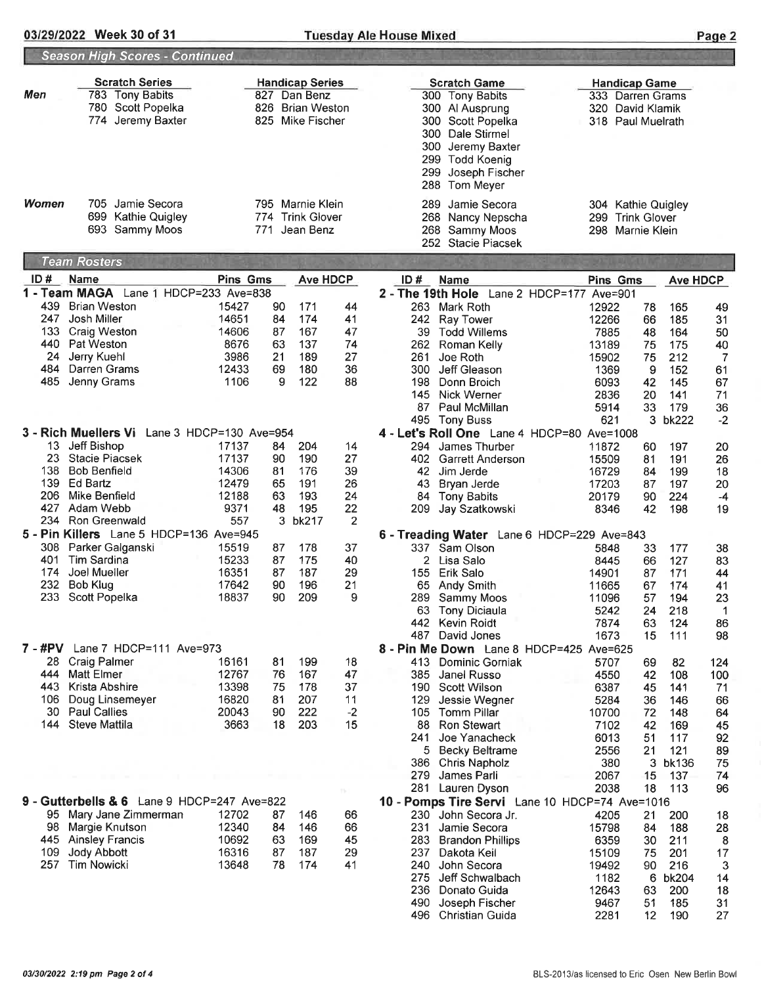## 03/29/2022 Week 30 of 31 Tuesday Ale House Mixed

|--|

|         | <b>Season High Scores - Continued</b>        |                 |     |                        |      |                                                                       |                      |                     |                 |            |
|---------|----------------------------------------------|-----------------|-----|------------------------|------|-----------------------------------------------------------------------|----------------------|---------------------|-----------------|------------|
|         | <b>Scratch Series</b>                        |                 |     | <b>Handicap Series</b> |      | <b>Scratch Game</b>                                                   | <b>Handicap Game</b> |                     |                 |            |
| Men     | 783 Tony Babits                              |                 |     | 827 Dan Benz           |      | 300 Tony Babits                                                       | 333 Darren Grams     |                     |                 |            |
|         | 780 Scott Popelka                            |                 | 826 | <b>Brian Weston</b>    |      | 300 Al Ausprung                                                       | 320 David Klamik     |                     |                 |            |
|         | 774 Jeremy Baxter                            |                 | 825 | Mike Fischer           |      | 300<br>Scott Popelka                                                  | 318 Paul Muelrath    |                     |                 |            |
|         |                                              |                 |     |                        |      | 300<br>Dale Stirmel                                                   |                      |                     |                 |            |
|         |                                              |                 |     |                        |      | 300<br>Jeremy Baxter                                                  |                      |                     |                 |            |
|         |                                              |                 |     |                        |      | 299<br><b>Todd Koenig</b>                                             |                      |                     |                 |            |
|         |                                              |                 |     |                        |      | 299<br>Joseph Fischer                                                 |                      |                     |                 |            |
|         |                                              |                 |     |                        |      | 288<br>Tom Meyer                                                      |                      |                     |                 |            |
|         |                                              |                 |     |                        |      |                                                                       |                      |                     |                 |            |
| Women   | 705 Jamie Secora                             |                 |     | 795 Marnie Klein       |      | Jamie Secora<br>289                                                   | 304 Kathie Quigley   |                     |                 |            |
|         | 699 Kathie Quigley                           |                 |     | 774 Trink Glover       |      | 268<br>Nancy Nepscha                                                  | 299                  | <b>Trink Glover</b> |                 |            |
|         | 693 Sammy Moos                               |                 | 771 | Jean Benz              |      | 268<br>Sammy Moos                                                     | 298 Marnie Klein     |                     |                 |            |
|         |                                              |                 |     |                        |      | 252 Stacie Piacsek                                                    |                      |                     |                 |            |
|         | <b>Team Rosters</b>                          |                 |     |                        |      |                                                                       |                      |                     |                 |            |
| ID#     | Name                                         | <b>Pins Gms</b> |     | <b>Ave HDCP</b>        |      | ID#<br><b>Name</b>                                                    | Pins Gms             |                     | <b>Ave HDCP</b> |            |
|         | 1 - Team MAGA Lane 1 HDCP=233 Ave=838        |                 |     |                        |      | 2 - The 19th Hole Lane 2 HDCP=177 Ave=901                             |                      |                     |                 |            |
| 439     | <b>Brian Weston</b>                          | 15427           | 90  | 171                    | 44   | 263 Mark Roth                                                         | 12922                | 78                  | 165             | 49         |
| 247     | Josh Miller                                  | 14651           | 84  | 174                    | 41   | 242<br>Ray Tower                                                      | 12266                | 66                  | 185             | 31         |
| 133     | Craig Weston                                 | 14606           | 87  | 167                    | 47   | 39<br><b>Todd Willems</b>                                             | 7885                 | 48                  | 164             | 50         |
| 440     | Pat Weston                                   | 8676            | 63  | 137                    | 74   | 262<br>Roman Kelly                                                    | 13189                | 75                  | 175             | 40         |
| 24      | Jerry Kuehl                                  | 3986            | 21  | 189                    | 27   | 261<br>Joe Roth                                                       | 15902                | 75                  | 212             | 7          |
| 484     | Darren Grams                                 | 12433           | 69  | 180                    | 36   | 300<br>Jeff Gleason                                                   | 1369                 | 9                   | 152             | 61         |
| 485     | Jenny Grams                                  | 1106            | 9   | 122                    | 88   | 198<br>Donn Broich                                                    | 6093                 | 42                  | 145             | 67         |
|         |                                              |                 |     |                        |      | 145<br>Nick Werner<br>87<br>Paul McMillan                             | 2836                 | 20                  | 141<br>179      | 71         |
|         |                                              |                 |     |                        |      | 495 Tony Buss                                                         | 5914<br>621          | 33<br>3             | <b>bk222</b>    | 36<br>$-2$ |
|         | 3 - Rich Muellers Vi Lane 3 HDCP=130 Ave=954 |                 |     |                        |      | 4 - Let's Roll One Lane 4 HDCP=80 Ave=1008                            |                      |                     |                 |            |
| 13      | Jeff Bishop                                  | 17137           | 84  | 204                    | 14   | 294<br>James Thurber                                                  | 11872                | 60                  | 197             |            |
| 23      | <b>Stacie Piacsek</b>                        | 17137           | 90  | 190                    | 27   | 402<br><b>Garrett Anderson</b>                                        | 15509                | 81                  | 191             | 20<br>26   |
| 138     | <b>Bob Benfield</b>                          | 14306           | 81  | 176                    | 39   | 42<br>Jim Jerde                                                       | 16729                | 84                  | 199             | 18         |
| 139     | Ed Bartz                                     | 12479           | 65  | 191                    | 26   | 43<br>Bryan Jerde                                                     | 17203                | 87                  | 197             | 20         |
| 206     | Mike Benfield                                | 12188           | 63  | 193                    | 24   | 84 Tony Babits                                                        | 20179                | 90                  | 224             | $-4$       |
| 427     | Adam Webb                                    | 9371            | 48  | 195                    | 22   | 209<br>Jay Szatkowski                                                 | 8346                 | 42                  | 198             | 19         |
| 234     | Ron Greenwald                                | 557             | 3   | bk217                  | 2    |                                                                       |                      |                     |                 |            |
|         | 5 - Pin Killers Lane 5 HDCP=136 Ave=945      |                 |     |                        |      | 6 - Treading Water Lane 6 HDCP=229 Ave=843                            |                      |                     |                 |            |
| 308     | Parker Galganski                             | 15519           | 87  | 178                    | 37   | 337 Sam Olson                                                         | 5848                 | 33                  | 177             | 38         |
| 401     | Tim Sardina                                  | 15233           | 87  | 175                    | 40   | 2 Lisa Salo                                                           | 8445                 | 66                  | 127             | 83         |
| 174     | Joel Mueller                                 | 16351           | 87  | 187                    | 29   | 155<br>Erik Salo                                                      | 14901                | 87                  | 171             | 44         |
| 232     | Bob Klug                                     | 17642           | 90  | 196                    | 21   | 65<br><b>Andy Smith</b>                                               | 11665                | 67                  | 174             | 41         |
| 233     | Scott Popelka                                | 18837           | 90  | 209                    | 9    | 289<br>Sammy Moos                                                     | 11096                | 57                  | 194             | 23         |
|         |                                              |                 |     |                        |      | <b>Tony Diciaula</b><br>63                                            | 5242                 | 24                  | 218             | 1          |
|         |                                              |                 |     |                        |      | 442<br><b>Kevin Roidt</b>                                             | 7874                 | 63                  | 124             | 86         |
|         |                                              |                 |     |                        |      | 487<br>David Jones                                                    | 1673                 | 15                  | 111             | 98         |
| 7 - #PV | Lane 7 HDCP=111 Ave=973                      |                 |     |                        |      | 8 - Pin Me Down Lane 8 HDCP=425 Ave=625                               |                      |                     |                 |            |
| 28      | <b>Craig Palmer</b>                          | 16161           | 81  | 199                    | 18   | 413 Dominic Gorniak                                                   | 5707                 | 69                  | 82              | 124        |
| 444     | <b>Matt Elmer</b>                            | 12767           | 76  | 167                    | 47   | 385<br>Janel Russo                                                    | 4550                 | 42                  | 108             | 100        |
| 443     | Krista Abshire                               | 13398           | 75  | 178                    | 37   | 190<br>Scott Wilson                                                   | 6387                 | 45                  | 141             | 71         |
| 106     | Doug Linsemeyer                              | 16820           | 81  | 207                    | 11   | 129<br>Jessie Wegner                                                  | 5284                 | 36                  | 146             | 66         |
| 30      | <b>Paul Callies</b>                          | 20043           | 90  | 222                    | $-2$ | 105<br><b>Tomm Pillar</b>                                             | 10700                | 72                  | 148             | 64         |
| 144     | <b>Steve Mattila</b>                         | 3663            | 18  | 203                    | 15   | 88<br><b>Ron Stewart</b>                                              | 7102                 | 42                  | 169             | 45         |
|         |                                              |                 |     |                        |      | 241<br>Joe Yanacheck                                                  | 6013                 | 51                  | 117             | 92         |
|         |                                              |                 |     |                        |      | 5 Becky Beltrame                                                      | 2556                 | 21                  | 121             | 89         |
|         |                                              |                 |     |                        |      | 386<br><b>Chris Napholz</b>                                           | 380                  | 3                   | bk136           | 75         |
|         |                                              |                 |     |                        |      | 279<br>James Parli                                                    | 2067<br>2038         | 15<br>18            | 137<br>113      | 74<br>96   |
|         | 9 - Gutterbells & 6 Lane 9 HDCP=247 Ave=822  |                 |     |                        |      | 281 Lauren Dyson                                                      |                      |                     |                 |            |
| 95      | Mary Jane Zimmerman                          | 12702           | 87  | 146                    | 66   | 10 - Pomps Tire Servi Lane 10 HDCP=74 Ave=1016<br>230 John Secora Jr. |                      |                     |                 |            |
| 98      |                                              | 12340           | 84  |                        | 66   | 231<br>Jamie Secora                                                   | 4205<br>15798        | 21                  | 200             | 18         |
| 445     | Margie Knutson<br><b>Ainsley Francis</b>     | 10692           | 63  | 146<br>169             | 45   | 283                                                                   |                      | 84                  | 188             | 28         |
| 109     | <b>Jody Abbott</b>                           | 16316           | 87  | 187                    | 29   | <b>Brandon Phillips</b><br>237<br>Dakota Keil                         | 6359<br>15109        | 30<br>75            | 211<br>201      | 8<br>17    |
| 257     | <b>Tim Nowicki</b>                           | 13648           | 78  | 174                    | 41   | 240<br>John Secora                                                    | 19492                | 90                  | 216             | 3          |
|         |                                              |                 |     |                        |      | 275<br>Jeff Schwalbach                                                | 1182                 | 6                   | bk204           | 14         |
|         |                                              |                 |     |                        |      | 236<br>Donato Guida                                                   | 12643                | 63                  | 200             | 18         |
|         |                                              |                 |     |                        |      | 490<br>Joseph Fischer                                                 | 9467                 | 51                  | 185             | 31         |
|         |                                              |                 |     |                        |      | 496<br><b>Christian Guida</b>                                         | 2281                 | 12                  | 190             | 27         |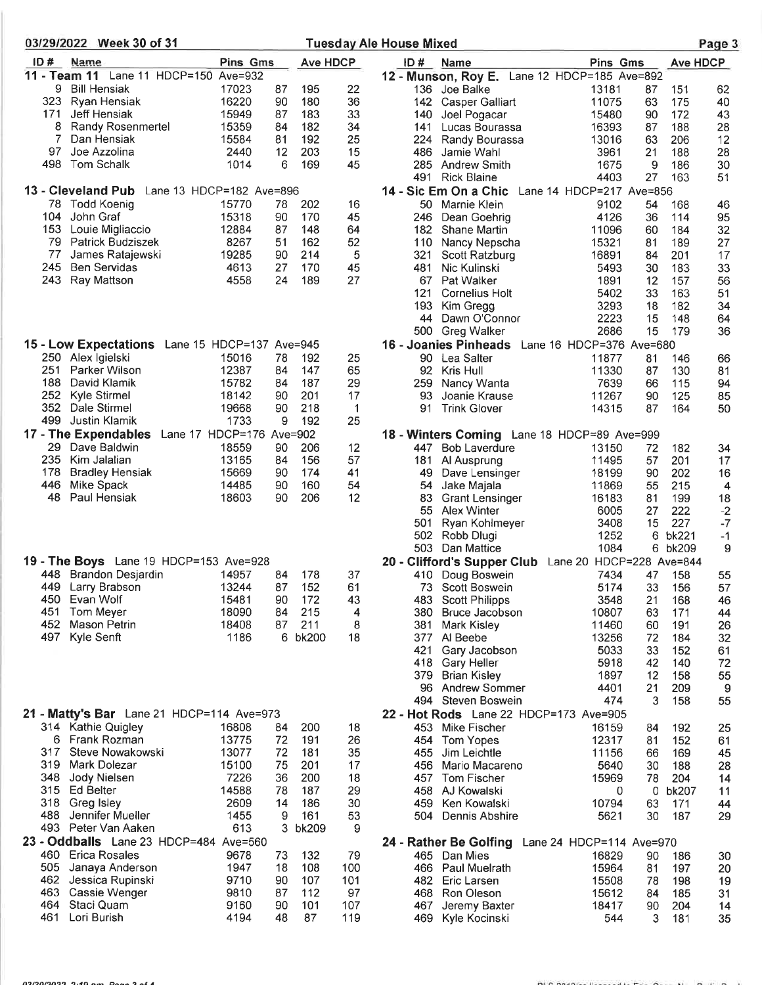| 03/29/2022 Week 30 of 31                                        |                 |          |                 |           | <b>Tuesday Ale House Mixed</b>                             |                |          |                 | Page 3     |
|-----------------------------------------------------------------|-----------------|----------|-----------------|-----------|------------------------------------------------------------|----------------|----------|-----------------|------------|
| ID#<br>Name                                                     | <b>Pins Gms</b> |          | <b>Ave HDCP</b> |           | ID#<br><b>Name</b>                                         | Pins Gms       |          | <b>Ave HDCP</b> |            |
| 11 - Team 11 Lane 11 HDCP=150 Ave=932                           |                 |          |                 |           | 12 - Munson, Roy E. Lane 12 HDCP=185 Ave=892               |                |          |                 |            |
| 9<br><b>Bill Hensiak</b>                                        | 17023           | 87       | 195             | 22        | 136 Joe Balke                                              | 13181          | 87       | 151             | 62         |
| 323<br>Ryan Hensiak                                             | 16220           | 90       | 180             | 36        | 142 Casper Galliart                                        | 11075          | 63       | 175             | 40         |
| 171<br>Jeff Hensiak<br>8<br>Randy Rosenmertel                   | 15949<br>15359  | 87<br>84 | 183<br>182      | 33<br>34  | 140<br>Joel Pogacar<br>141<br>Lucas Bourassa               | 15480<br>16393 | 90<br>87 | 172<br>188      | 43<br>28   |
| Dan Hensiak                                                     | 15584           | 81       | 192             | 25        | 224<br>Randy Bourassa                                      | 13016          | 63       | 206             | 12         |
| 97<br>Joe Azzolina                                              | 2440            | 12       | 203             | 15        | 486<br>Jamie Wahl                                          | 3961           | 21       | 188             | 28         |
| 498<br>Tom Schalk                                               | 1014            | 6        | 169             | 45        | 285<br><b>Andrew Smith</b>                                 | 1675           | 9        | 186             | 30         |
|                                                                 |                 |          |                 |           | 491<br><b>Rick Blaine</b>                                  | 4403           | 27       | 163             | 51         |
| 13 - Cleveland Pub Lane 13 HDCP=182 Ave=896                     |                 |          |                 |           | 14 - Sic Em On a Chic<br>Lane 14 HDCP=217 Ave=856          |                |          |                 |            |
| <b>Todd Koenig</b><br>78.                                       | 15770           | 78       | 202             | 16        | 50<br>Marnie Klein                                         | 9102           | 54       | 168             | 46         |
| 104<br>John Graf                                                | 15318           | 90       | 170             | 45        | 246<br>Dean Goehrig                                        | 4126           | 36       | 114             | 95         |
| 153.<br>Louie Migliaccio<br>79<br>Patrick Budziszek             | 12884<br>8267   | 87<br>51 | 148<br>162      | 64<br>52  | 182<br><b>Shane Martin</b>                                 | 11096<br>15321 | 60<br>81 | 184<br>189      | 32<br>27   |
| 77<br>James Ratajewski                                          | 19285           | 90       | 214             | 5         | Nancy Nepscha<br>110<br>321<br>Scott Ratzburg              | 16891          | 84       | 201             | 17         |
| <b>Ben Servidas</b><br>245                                      | 4613            | 27       | 170             | 45        | 481<br>Nic Kulinski                                        | 5493           | 30       | 183             | 33         |
| 243<br>Ray Mattson                                              | 4558            | 24       | 189             | 27        | 67<br>Pat Walker                                           | 1891           | 12       | 157             | 56         |
|                                                                 |                 |          |                 |           | 121<br><b>Cornelius Holt</b>                               | 5402           | 33       | 163             | 51         |
|                                                                 |                 |          |                 |           | 193<br>Kim Gregg                                           | 3293           | 18       | 182             | 34         |
|                                                                 |                 |          |                 |           | 44<br>Dawn O'Connor                                        | 2223           | 15       | 148             | 64         |
|                                                                 |                 |          |                 |           | 500<br>Greg Walker                                         | 2686           | 15       | 179             | 36         |
| 15 - Low Expectations Lane 15 HDCP=137 Ave=945                  |                 |          |                 |           | 16 - Joanies Pinheads Lane 16 HDCP=376 Ave=680             |                |          |                 |            |
| 250 Alex Igielski<br>251<br>Parker Wilson                       | 15016<br>12387  | 78       | 192<br>147      | 25<br>65  | 90 Lea Salter<br>92<br>Kris Hull                           | 11877          | 81       | 146             | 66         |
| 188<br>David Klamik                                             | 15782           | 84<br>84 | 187             | 29        | 259<br>Nancy Wanta                                         | 11330<br>7639  | 87<br>66 | 130<br>115      | 81<br>94   |
| 252<br>Kyle Stirmel                                             | 18142           | 90       | 201             | 17        | 93<br>Joanie Krause                                        | 11267          | 90       | 125             | 85         |
| 352<br>Dale Stirmel                                             | 19668           | 90       | 218             | 1         | 91<br><b>Trink Glover</b>                                  | 14315          | 87       | 164             | 50         |
| 499<br>Justin Klamik                                            | 1733            | 9        | 192             | 25        |                                                            |                |          |                 |            |
| Lane 17 HDCP=176 Ave=902<br>17 - The Expendables                |                 |          |                 |           | 18 - Winters Coming Lane 18 HDCP=89 Ave=999                |                |          |                 |            |
| 29.<br>Dave Baldwin                                             | 18559           | 90       | 206             | 12        | <b>Bob Laverdure</b><br>447.                               | 13150          | 72       | 182             | 34         |
| 235<br>Kim Jalalian                                             | 13165           | 84       | 156             | 57        | 181<br>Al Ausprung                                         | 11495          | 57       | 201             | 17         |
| 178<br><b>Bradley Hensiak</b>                                   | 15669           | 90       | 174             | 41        | 49<br>Dave Lensinger                                       | 18199          | 90       | 202             | 16         |
| 446<br>Mike Spack<br>48<br>Paul Hensiak                         | 14485<br>18603  | 90<br>90 | 160<br>206      | 54<br>12  | 54<br>Jake Majala                                          | 11869          | 55       | 215             | 4          |
|                                                                 |                 |          |                 |           | 83<br><b>Grant Lensinger</b><br>55<br>Alex Winter          | 16183<br>6005  | 81<br>27 | 199<br>222      | 18<br>$-2$ |
|                                                                 |                 |          |                 |           | 501<br>Ryan Kohlmeyer                                      | 3408           | 15       | 227             | $-7$       |
|                                                                 |                 |          |                 |           | 502<br>Robb Dlugi                                          | 1252           | 6        | bk221           | $-1$       |
|                                                                 |                 |          |                 |           | 503 Dan Mattice                                            | 1084           | 6.       | bk209           | 9          |
| 19 - The Boys Lane 19 HDCP=153 Ave=928                          |                 |          |                 |           | 20 - Clifford's Supper Club Lane 20 HDCP=228 Ave=844       |                |          |                 |            |
| 448 Brandon Desjardin                                           | 14957           | 84       | 178             | 37        | 410<br>Doug Boswein                                        | 7434           | 47       | 158             | 55         |
| 449 Larry Brabson                                               | 13244           | 87       | 152             | 61        | 73 Scott Boswein                                           | 5174           | 33       | 156             | 57         |
| 450 Evan Wolf<br>451<br>Tom Meyer                               | 15481<br>18090  | 90<br>84 | 172<br>215      | 43<br>4   | 483 Scott Philipps<br>380<br>Bruce Jacobson                | 3548<br>10807  | 21<br>63 | 168<br>171      | 46         |
| 452<br>Mason Petrin                                             | 18408           | 87       | 211             | 8         | 381<br>Mark Kisley                                         | 11460          | 60       | 191             | 44<br>26   |
| 497<br>Kyle Senft                                               | 1186            |          | 6 bk200         | 18        | 377 Al Beebe                                               | 13256          | 72       | 184             | 32         |
|                                                                 |                 |          |                 |           | 421<br>Gary Jacobson                                       | 5033           | 33       | 152             | 61         |
|                                                                 |                 |          |                 |           | 418<br><b>Gary Heller</b>                                  | 5918           | 42       | 140             | 72         |
|                                                                 |                 |          |                 |           | 379<br><b>Brian Kisley</b>                                 | 1897           | 12       | 158             | 55         |
|                                                                 |                 |          |                 |           | 96 Andrew Sommer                                           | 4401           | 21       | 209             | 9          |
|                                                                 |                 |          |                 |           | 494<br>Steven Boswein                                      | 474            | 3        | 158             | 55         |
| 21 - Matty's Bar Lane 21 HDCP=114 Ave=973<br>314 Kathie Quigley | 16808           | 84       | 200             | 18        | 22 - Hot Rods Lane 22 HDCP=173 Ave=905<br>453 Mike Fischer | 16159          |          |                 |            |
| 6 Frank Rozman                                                  | 13775           | 72       | 191             | 26        | 454 Tom Yopes                                              | 12317          | 84<br>81 | 192<br>152      | 25<br>61   |
| 317<br>Steve Nowakowski                                         | 13077           | 72       | 181             | 35        | 455<br>Jim Leichtle                                        | 11156          | 66       | 169             | 45         |
| 319 Mark Dolezar                                                | 15100           | 75       | 201             | 17        | Mario Macareno<br>456                                      | 5640           | 30       | 188             | 28         |
| 348 Jody Nielsen                                                | 7226            | 36       | 200             | 18        | <b>Tom Fischer</b><br>457                                  | 15969          | 78       | 204             | 14         |
| 315 Ed Belter                                                   | 14588           | 78       | 187             | 29        | 458 AJ Kowalski                                            | 0              | 0        | bk207           | 11         |
| 318 Greg Isley                                                  | 2609            | 14       | 186             | 30        | 459<br>Ken Kowalski                                        | 10794          | 63       | 171             | 44         |
| 488.<br>Jennifer Mueller                                        | 1455            | 9        | 161             | 53        | 504 Dennis Abshire                                         | 5621           | 30       | 187             | 29         |
| 493 Peter Van Aaken                                             | 613             |          | 3 bk209         | 9         |                                                            |                |          |                 |            |
| 23 - Oddballs Lane 23 HDCP=484 Ave=560                          |                 |          |                 |           | 24 - Rather Be Golfing Lane 24 HDCP=114 Ave=970            |                |          |                 |            |
| 460 .<br><b>Erica Rosales</b><br>505<br>Janaya Anderson         | 9678<br>1947    | 73<br>18 | 132<br>108      | 79<br>100 | 465 Dan Mies<br>466 Paul Muelrath                          | 16829<br>15964 | 90<br>81 | 186<br>197      | 30<br>20   |
| 462<br>Jessica Rupinski                                         | 9710            | 90       | 107             | 101       | 482<br>Eric Larsen                                         | 15508          | 78       | 198             | 19         |
| 463<br>Cassie Wenger                                            | 9810            | 87       | 112             | 97        | 468 -<br><b>Ron Oleson</b>                                 | 15612          | 84       | 185             | 31         |
| 464<br>Staci Quam                                               | 9160            | 90       | 101             | 107       | Jeremy Baxter<br>467                                       | 18417          | 90       | 204             | 14         |
| Lori Burish<br>461                                              | 4194            | 48       | 87              | 119       | Kyle Kocinski<br>469.                                      | 544            | 3        | 181             | 35         |